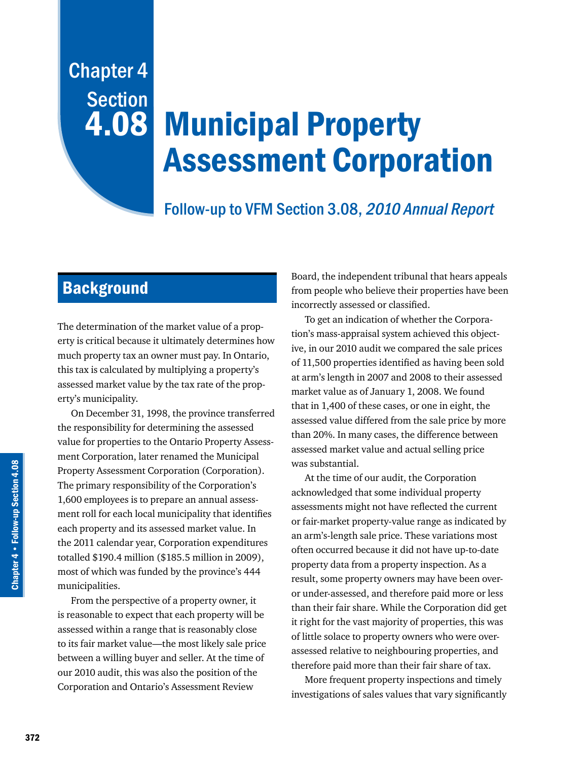# Chapter 4 **Section** 4.08

# Municipal Property Assessment Corporation

## Follow-up to VFM Section 3.08, 2010 Annual Report

## **Background**

The determination of the market value of a property is critical because it ultimately determines how much property tax an owner must pay. In Ontario, this tax is calculated by multiplying a property's assessed market value by the tax rate of the property's municipality.

On December 31, 1998, the province transferred the responsibility for determining the assessed value for properties to the Ontario Property Assessment Corporation, later renamed the Municipal Property Assessment Corporation (Corporation). The primary responsibility of the Corporation's 1,600 employees is to prepare an annual assessment roll for each local municipality that identifies each property and its assessed market value. In the 2011 calendar year, Corporation expenditures totalled \$190.4 million (\$185.5 million in 2009), most of which was funded by the province's 444 municipalities.

From the perspective of a property owner, it is reasonable to expect that each property will be assessed within a range that is reasonably close to its fair market value—the most likely sale price between a willing buyer and seller. At the time of our 2010 audit, this was also the position of the Corporation and Ontario's Assessment Review

Board, the independent tribunal that hears appeals from people who believe their properties have been incorrectly assessed or classified.

To get an indication of whether the Corporation's mass-appraisal system achieved this objective, in our 2010 audit we compared the sale prices of 11,500 properties identified as having been sold at arm's length in 2007 and 2008 to their assessed market value as of January 1, 2008. We found that in 1,400 of these cases, or one in eight, the assessed value differed from the sale price by more than 20%. In many cases, the difference between assessed market value and actual selling price was substantial.

At the time of our audit, the Corporation acknowledged that some individual property assessments might not have reflected the current or fair-market property-value range as indicated by an arm's-length sale price. These variations most often occurred because it did not have up-to-date property data from a property inspection. As a result, some property owners may have been overor under-assessed, and therefore paid more or less than their fair share. While the Corporation did get it right for the vast majority of properties, this was of little solace to property owners who were overassessed relative to neighbouring properties, and therefore paid more than their fair share of tax.

More frequent property inspections and timely investigations of sales values that vary significantly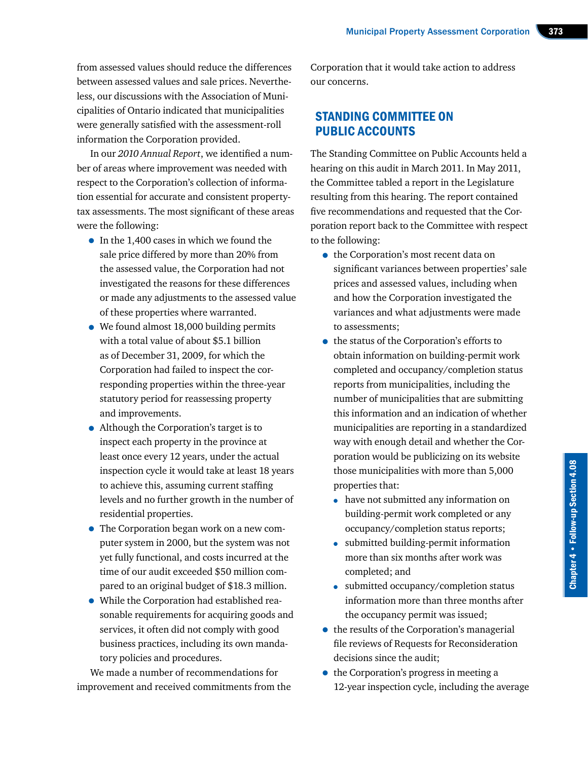from assessed values should reduce the differences between assessed values and sale prices. Nevertheless, our discussions with the Association of Municipalities of Ontario indicated that municipalities were generally satisfied with the assessment-roll information the Corporation provided.

In our *2010 Annual Report*, we identified a number of areas where improvement was needed with respect to the Corporation's collection of information essential for accurate and consistent propertytax assessments. The most significant of these areas were the following:

- In the 1,400 cases in which we found the sale price differed by more than 20% from the assessed value, the Corporation had not investigated the reasons for these differences or made any adjustments to the assessed value of these properties where warranted.
- We found almost 18,000 building permits with a total value of about \$5.1 billion as of December 31, 2009, for which the Corporation had failed to inspect the corresponding properties within the three-year statutory period for reassessing property and improvements.
- Although the Corporation's target is to inspect each property in the province at least once every 12 years, under the actual inspection cycle it would take at least 18 years to achieve this, assuming current staffing levels and no further growth in the number of residential properties.
- The Corporation began work on a new computer system in 2000, but the system was not yet fully functional, and costs incurred at the time of our audit exceeded \$50 million compared to an original budget of \$18.3 million.
- While the Corporation had established reasonable requirements for acquiring goods and services, it often did not comply with good business practices, including its own mandatory policies and procedures.

We made a number of recommendations for improvement and received commitments from the Corporation that it would take action to address our concerns.

## STANDING COMMITTEE ON PUBLIC ACCOUNTS

The Standing Committee on Public Accounts held a hearing on this audit in March 2011. In May 2011, the Committee tabled a report in the Legislature resulting from this hearing. The report contained five recommendations and requested that the Corporation report back to the Committee with respect to the following:

- the Corporation's most recent data on significant variances between properties' sale prices and assessed values, including when and how the Corporation investigated the variances and what adjustments were made to assessments;
- the status of the Corporation's efforts to obtain information on building-permit work completed and occupancy/completion status reports from municipalities, including the number of municipalities that are submitting this information and an indication of whether municipalities are reporting in a standardized way with enough detail and whether the Corporation would be publicizing on its website those municipalities with more than 5,000 properties that:
	- have not submitted any information on building-permit work completed or any occupancy/completion status reports;
	- submitted building-permit information more than six months after work was completed; and
	- submitted occupancy/completion status information more than three months after the occupancy permit was issued;
- the results of the Corporation's managerial file reviews of Requests for Reconsideration decisions since the audit;
- the Corporation's progress in meeting a 12-year inspection cycle, including the average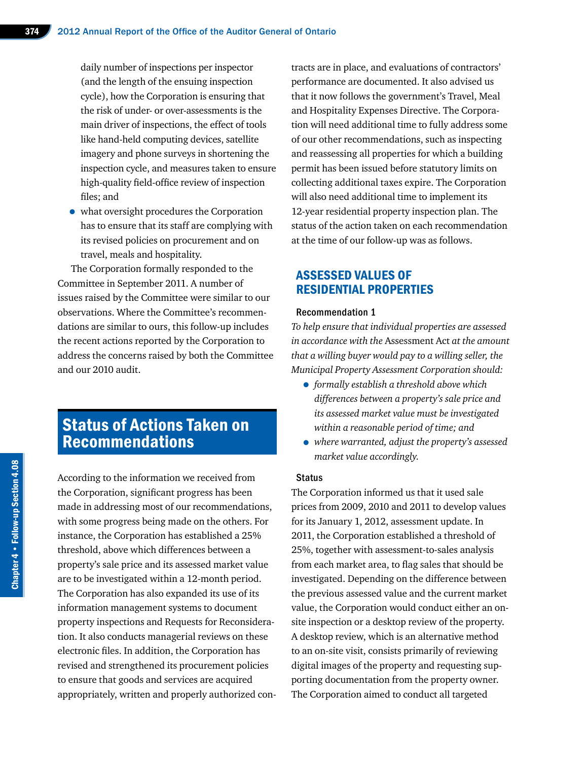daily number of inspections per inspector (and the length of the ensuing inspection cycle), how the Corporation is ensuring that the risk of under- or over-assessments is the main driver of inspections, the effect of tools like hand-held computing devices, satellite imagery and phone surveys in shortening the inspection cycle, and measures taken to ensure high-quality field-office review of inspection files; and

• what oversight procedures the Corporation has to ensure that its staff are complying with its revised policies on procurement and on travel, meals and hospitality.

The Corporation formally responded to the Committee in September 2011. A number of issues raised by the Committee were similar to our observations. Where the Committee's recommendations are similar to ours, this follow-up includes the recent actions reported by the Corporation to address the concerns raised by both the Committee and our 2010 audit.

## Status of Actions Taken on Recommendations

According to the information we received from the Corporation, significant progress has been made in addressing most of our recommendations, with some progress being made on the others. For instance, the Corporation has established a 25% threshold, above which differences between a property's sale price and its assessed market value are to be investigated within a 12-month period. The Corporation has also expanded its use of its information management systems to document property inspections and Requests for Reconsideration. It also conducts managerial reviews on these electronic files. In addition, the Corporation has revised and strengthened its procurement policies to ensure that goods and services are acquired appropriately, written and properly authorized contracts are in place, and evaluations of contractors' performance are documented. It also advised us that it now follows the government's Travel, Meal and Hospitality Expenses Directive. The Corporation will need additional time to fully address some of our other recommendations, such as inspecting and reassessing all properties for which a building permit has been issued before statutory limits on collecting additional taxes expire. The Corporation will also need additional time to implement its 12-year residential property inspection plan. The status of the action taken on each recommendation at the time of our follow-up was as follows.

## ASSESSED VALUES OF RESIDENTIAL PROPERTIES

#### Recommendation 1

*To help ensure that individual properties are assessed in accordance with the* Assessment Act *at the amount that a willing buyer would pay to a willing seller, the Municipal Property Assessment Corporation should:*

- *formally establish a threshold above which differences between a property's sale price and its assessed market value must be investigated within a reasonable period of time; and*
- *where warranted, adjust the property's assessed market value accordingly.*

#### **Status**

The Corporation informed us that it used sale prices from 2009, 2010 and 2011 to develop values for its January 1, 2012, assessment update. In 2011, the Corporation established a threshold of 25%, together with assessment-to-sales analysis from each market area, to flag sales that should be investigated. Depending on the difference between the previous assessed value and the current market value, the Corporation would conduct either an onsite inspection or a desktop review of the property. A desktop review, which is an alternative method to an on-site visit, consists primarily of reviewing digital images of the property and requesting supporting documentation from the property owner. The Corporation aimed to conduct all targeted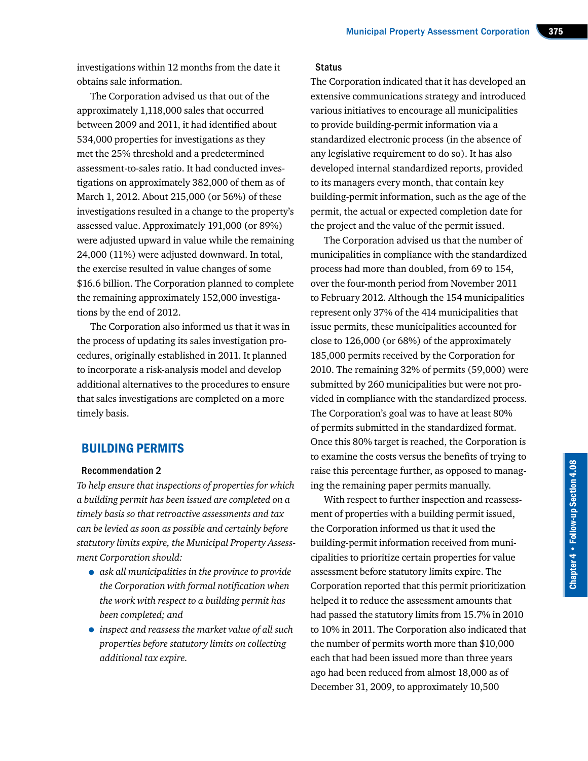investigations within 12 months from the date it obtains sale information.

The Corporation advised us that out of the approximately 1,118,000 sales that occurred between 2009 and 2011, it had identified about 534,000 properties for investigations as they met the 25% threshold and a predetermined assessment-to-sales ratio. It had conducted investigations on approximately 382,000 of them as of March 1, 2012. About 215,000 (or 56%) of these investigations resulted in a change to the property's assessed value. Approximately 191,000 (or 89%) were adjusted upward in value while the remaining 24,000 (11%) were adjusted downward. In total, the exercise resulted in value changes of some \$16.6 billion. The Corporation planned to complete the remaining approximately 152,000 investigations by the end of 2012.

The Corporation also informed us that it was in the process of updating its sales investigation procedures, originally established in 2011. It planned to incorporate a risk-analysis model and develop additional alternatives to the procedures to ensure that sales investigations are completed on a more timely basis.

## BUILDING PERMITS

#### Recommendation 2

*To help ensure that inspections of properties for which a building permit has been issued are completed on a timely basis so that retroactive assessments and tax can be levied as soon as possible and certainly before statutory limits expire, the Municipal Property Assessment Corporation should:*

- *ask all municipalities in the province to provide the Corporation with formal notification when the work with respect to a building permit has been completed; and*
- *inspect and reassess the market value of all such properties before statutory limits on collecting additional tax expire.*

### **Status**

The Corporation indicated that it has developed an extensive communications strategy and introduced various initiatives to encourage all municipalities to provide building-permit information via a standardized electronic process (in the absence of any legislative requirement to do so). It has also developed internal standardized reports, provided to its managers every month, that contain key building-permit information, such as the age of the permit, the actual or expected completion date for the project and the value of the permit issued.

The Corporation advised us that the number of municipalities in compliance with the standardized process had more than doubled, from 69 to 154, over the four-month period from November 2011 to February 2012. Although the 154 municipalities represent only 37% of the 414 municipalities that issue permits, these municipalities accounted for close to 126,000 (or 68%) of the approximately 185,000 permits received by the Corporation for 2010. The remaining 32% of permits (59,000) were submitted by 260 municipalities but were not provided in compliance with the standardized process. The Corporation's goal was to have at least 80% of permits submitted in the standardized format. Once this 80% target is reached, the Corporation is to examine the costs versus the benefits of trying to raise this percentage further, as opposed to managing the remaining paper permits manually.

With respect to further inspection and reassessment of properties with a building permit issued, the Corporation informed us that it used the building-permit information received from municipalities to prioritize certain properties for value assessment before statutory limits expire. The Corporation reported that this permit prioritization helped it to reduce the assessment amounts that had passed the statutory limits from 15.7% in 2010 to 10% in 2011. The Corporation also indicated that the number of permits worth more than \$10,000 each that had been issued more than three years ago had been reduced from almost 18,000 as of December 31, 2009, to approximately 10,500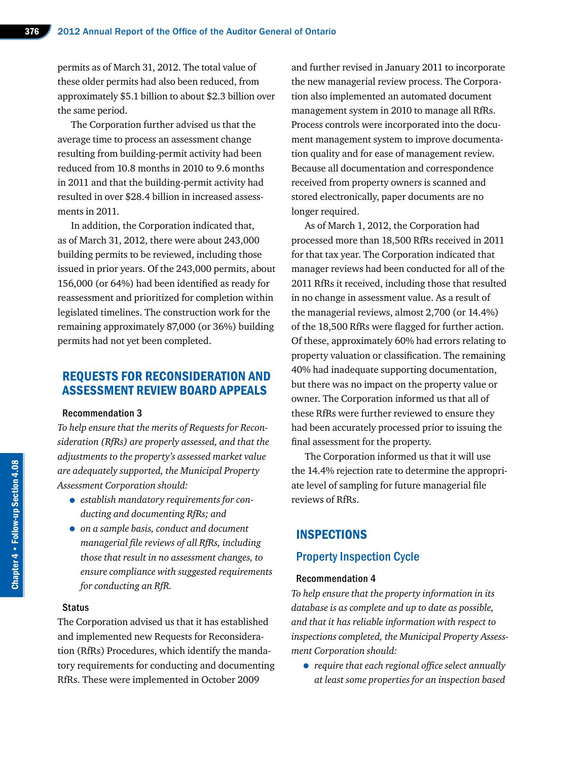permits as of March 31, 2012. The total value of these older permits had also been reduced, from approximately \$5.1 billion to about \$2.3 billion over the same period.

The Corporation further advised us that the average time to process an assessment change resulting from building-permit activity had been reduced from 10.8 months in 2010 to 9.6 months in 2011 and that the building-permit activity had resulted in over \$28.4 billion in increased assessments in 2011.

In addition, the Corporation indicated that, as of March 31, 2012, there were about 243,000 building permits to be reviewed, including those issued in prior years. Of the 243,000 permits, about 156,000 (or 64%) had been identified as ready for reassessment and prioritized for completion within legislated timelines. The construction work for the remaining approximately 87,000 (or 36%) building permits had not yet been completed.

## REQUESTS FOR RECONSIDERATION AND ASSESSMENT REVIEW BOARD APPEALS

#### Recommendation 3

*To help ensure that the merits of Requests for Reconsideration (RfRs) are properly assessed, and that the adjustments to the property's assessed market value are adequately supported, the Municipal Property Assessment Corporation should:*

- *establish mandatory requirements for conducting and documenting RfRs; and*
- *on a sample basis, conduct and document managerial file reviews of all RfRs, including those that result in no assessment changes, to ensure compliance with suggested requirements for conducting an RfR.*

## **Status**

The Corporation advised us that it has established and implemented new Requests for Reconsideration (RfRs) Procedures, which identify the mandatory requirements for conducting and documenting RfRs. These were implemented in October 2009

and further revised in January 2011 to incorporate the new managerial review process. The Corporation also implemented an automated document management system in 2010 to manage all RfRs. Process controls were incorporated into the document management system to improve documentation quality and for ease of management review. Because all documentation and correspondence received from property owners is scanned and stored electronically, paper documents are no longer required.

As of March 1, 2012, the Corporation had processed more than 18,500 RfRs received in 2011 for that tax year. The Corporation indicated that manager reviews had been conducted for all of the 2011 RfRs it received, including those that resulted in no change in assessment value. As a result of the managerial reviews, almost 2,700 (or 14.4%) of the 18,500 RfRs were flagged for further action. Of these, approximately 60% had errors relating to property valuation or classification. The remaining 40% had inadequate supporting documentation, but there was no impact on the property value or owner. The Corporation informed us that all of these RfRs were further reviewed to ensure they had been accurately processed prior to issuing the final assessment for the property.

The Corporation informed us that it will use the 14.4% rejection rate to determine the appropriate level of sampling for future managerial file reviews of RfRs.

## INSPECTIONS

## Property Inspection Cycle

#### Recommendation 4

*To help ensure that the property information in its database is as complete and up to date as possible, and that it has reliable information with respect to inspections completed, the Municipal Property Assessment Corporation should:*

• *require that each regional office select annually at least some properties for an inspection based*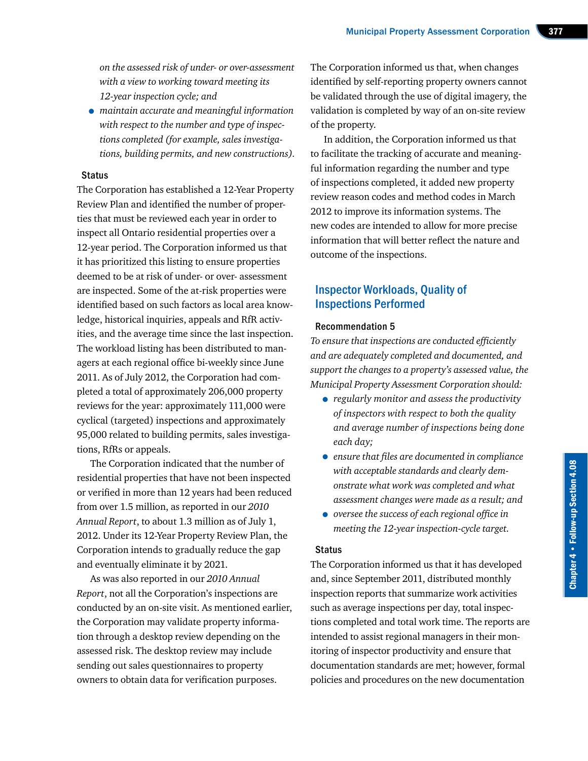*on the assessed risk of under- or over-assessment with a view to working toward meeting its 12-year inspection cycle; and*

• *maintain accurate and meaningful information with respect to the number and type of inspections completed (for example, sales investigations, building permits, and new constructions).*

## **Status**

The Corporation has established a 12-Year Property Review Plan and identified the number of properties that must be reviewed each year in order to inspect all Ontario residential properties over a 12-year period. The Corporation informed us that it has prioritized this listing to ensure properties deemed to be at risk of under- or over- assessment are inspected. Some of the at-risk properties were identified based on such factors as local area knowledge, historical inquiries, appeals and RfR activities, and the average time since the last inspection. The workload listing has been distributed to managers at each regional office bi-weekly since June 2011. As of July 2012, the Corporation had completed a total of approximately 206,000 property reviews for the year: approximately 111,000 were cyclical (targeted) inspections and approximately 95,000 related to building permits, sales investigations, RfRs or appeals.

The Corporation indicated that the number of residential properties that have not been inspected or verified in more than 12 years had been reduced from over 1.5 million, as reported in our *2010 Annual Report*, to about 1.3 million as of July 1, 2012. Under its 12-Year Property Review Plan, the Corporation intends to gradually reduce the gap and eventually eliminate it by 2021.

As was also reported in our *2010 Annual Report*, not all the Corporation's inspections are conducted by an on-site visit. As mentioned earlier, the Corporation may validate property information through a desktop review depending on the assessed risk. The desktop review may include sending out sales questionnaires to property owners to obtain data for verification purposes.

The Corporation informed us that, when changes identified by self-reporting property owners cannot be validated through the use of digital imagery, the validation is completed by way of an on-site review of the property.

In addition, the Corporation informed us that to facilitate the tracking of accurate and meaningful information regarding the number and type of inspections completed, it added new property review reason codes and method codes in March 2012 to improve its information systems. The new codes are intended to allow for more precise information that will better reflect the nature and outcome of the inspections.

## Inspector Workloads, Quality of Inspections Performed

#### Recommendation 5

*To ensure that inspections are conducted efficiently and are adequately completed and documented, and support the changes to a property's assessed value, the Municipal Property Assessment Corporation should:*

- *regularly monitor and assess the productivity of inspectors with respect to both the quality and average number of inspections being done each day;*
- *ensure that files are documented in compliance with acceptable standards and clearly demonstrate what work was completed and what assessment changes were made as a result; and*
- *oversee the success of each regional office in meeting the 12-year inspection-cycle target.*

### Status

The Corporation informed us that it has developed and, since September 2011, distributed monthly inspection reports that summarize work activities such as average inspections per day, total inspections completed and total work time. The reports are intended to assist regional managers in their monitoring of inspector productivity and ensure that documentation standards are met; however, formal policies and procedures on the new documentation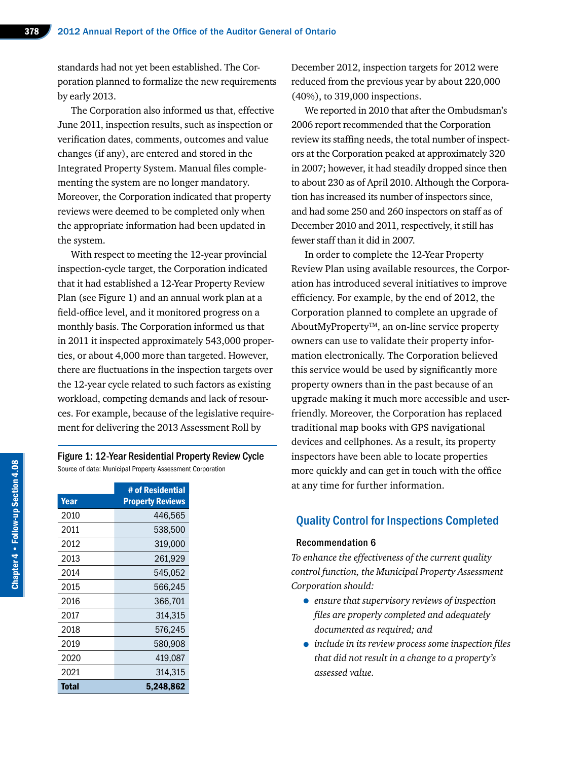standards had not yet been established. The Corporation planned to formalize the new requirements by early 2013.

The Corporation also informed us that, effective June 2011, inspection results, such as inspection or verification dates, comments, outcomes and value changes (if any), are entered and stored in the Integrated Property System. Manual files complementing the system are no longer mandatory. Moreover, the Corporation indicated that property reviews were deemed to be completed only when the appropriate information had been updated in the system.

With respect to meeting the 12-year provincial inspection-cycle target, the Corporation indicated that it had established a 12-Year Property Review Plan (see Figure 1) and an annual work plan at a field-office level, and it monitored progress on a monthly basis. The Corporation informed us that in 2011 it inspected approximately 543,000 properties, or about 4,000 more than targeted. However, there are fluctuations in the inspection targets over the 12-year cycle related to such factors as existing workload, competing demands and lack of resources. For example, because of the legislative requirement for delivering the 2013 Assessment Roll by

## Figure 1: 12-Year Residential Property Review Cycle Source of data: Municipal Property Assessment Corporation

|       | # of Residential        |
|-------|-------------------------|
| Year  | <b>Property Reviews</b> |
| 2010  | 446,565                 |
| 2011  | 538,500                 |
| 2012  | 319,000                 |
| 2013  | 261,929                 |
| 2014  | 545,052                 |
| 2015  | 566,245                 |
| 2016  | 366,701                 |
| 2017  | 314,315                 |
| 2018  | 576.245                 |
| 2019  | 580,908                 |
| 2020  | 419,087                 |
| 2021  | 314,315                 |
| Total | 5,248,862               |

December 2012, inspection targets for 2012 were reduced from the previous year by about 220,000 (40%), to 319,000 inspections.

We reported in 2010 that after the Ombudsman's 2006 report recommended that the Corporation review its staffing needs, the total number of inspectors at the Corporation peaked at approximately 320 in 2007; however, it had steadily dropped since then to about 230 as of April 2010. Although the Corporation has increased its number of inspectors since, and had some 250 and 260 inspectors on staff as of December 2010 and 2011, respectively, it still has fewer staff than it did in 2007.

In order to complete the 12-Year Property Review Plan using available resources, the Corporation has introduced several initiatives to improve efficiency. For example, by the end of 2012, the Corporation planned to complete an upgrade of AboutMyProperty<sup>™</sup>, an on-line service property owners can use to validate their property information electronically. The Corporation believed this service would be used by significantly more property owners than in the past because of an upgrade making it much more accessible and userfriendly. Moreover, the Corporation has replaced traditional map books with GPS navigational devices and cellphones. As a result, its property inspectors have been able to locate properties more quickly and can get in touch with the office at any time for further information.

## Quality Control for Inspections Completed

## Recommendation 6

*To enhance the effectiveness of the current quality control function, the Municipal Property Assessment Corporation should:*

- *ensure that supervisory reviews of inspection files are properly completed and adequately documented as required; and*
- *include in its review process some inspection files that did not result in a change to a property's assessed value.*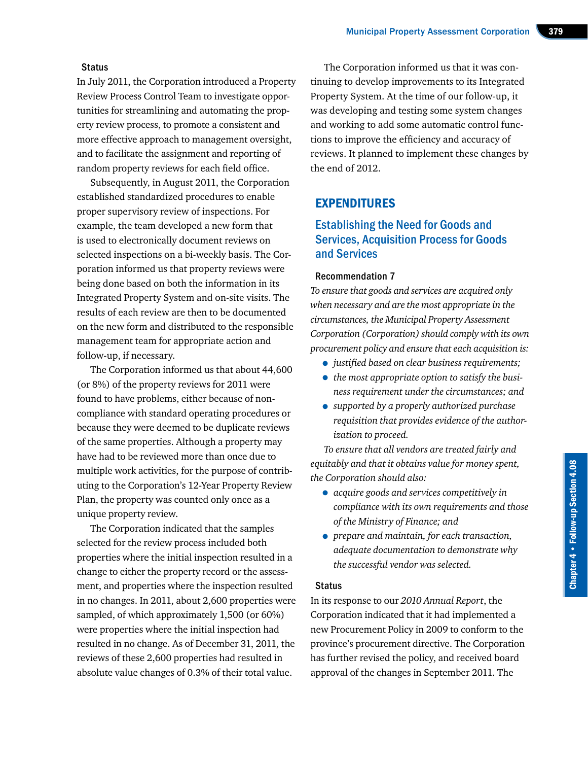#### **Status**

In July 2011, the Corporation introduced a Property Review Process Control Team to investigate opportunities for streamlining and automating the property review process, to promote a consistent and more effective approach to management oversight, and to facilitate the assignment and reporting of random property reviews for each field office.

Subsequently, in August 2011, the Corporation established standardized procedures to enable proper supervisory review of inspections. For example, the team developed a new form that is used to electronically document reviews on selected inspections on a bi-weekly basis. The Corporation informed us that property reviews were being done based on both the information in its Integrated Property System and on-site visits. The results of each review are then to be documented on the new form and distributed to the responsible management team for appropriate action and follow-up, if necessary.

The Corporation informed us that about 44,600 (or 8%) of the property reviews for 2011 were found to have problems, either because of noncompliance with standard operating procedures or because they were deemed to be duplicate reviews of the same properties. Although a property may have had to be reviewed more than once due to multiple work activities, for the purpose of contributing to the Corporation's 12-Year Property Review Plan, the property was counted only once as a unique property review.

The Corporation indicated that the samples selected for the review process included both properties where the initial inspection resulted in a change to either the property record or the assessment, and properties where the inspection resulted in no changes. In 2011, about 2,600 properties were sampled, of which approximately 1,500 (or 60%) were properties where the initial inspection had resulted in no change. As of December 31, 2011, the reviews of these 2,600 properties had resulted in absolute value changes of 0.3% of their total value.

The Corporation informed us that it was continuing to develop improvements to its Integrated Property System. At the time of our follow-up, it was developing and testing some system changes and working to add some automatic control functions to improve the efficiency and accuracy of reviews. It planned to implement these changes by the end of 2012.

## EXPENDITURES

## Establishing the Need for Goods and Services, Acquisition Process for Goods and Services

## Recommendation 7

*To ensure that goods and services are acquired only when necessary and are the most appropriate in the circumstances, the Municipal Property Assessment Corporation (Corporation) should comply with its own procurement policy and ensure that each acquisition is:*

- *justified based on clear business requirements;*
- *the most appropriate option to satisfy the business requirement under the circumstances; and*
- *supported by a properly authorized purchase requisition that provides evidence of the authorization to proceed.*

*To ensure that all vendors are treated fairly and equitably and that it obtains value for money spent, the Corporation should also:*

- *acquire goods and services competitively in compliance with its own requirements and those of the Ministry of Finance; and*
- *prepare and maintain, for each transaction, adequate documentation to demonstrate why the successful vendor was selected.*

## **Status**

In its response to our *2010 Annual Report*, the Corporation indicated that it had implemented a new Procurement Policy in 2009 to conform to the province's procurement directive. The Corporation has further revised the policy, and received board approval of the changes in September 2011. The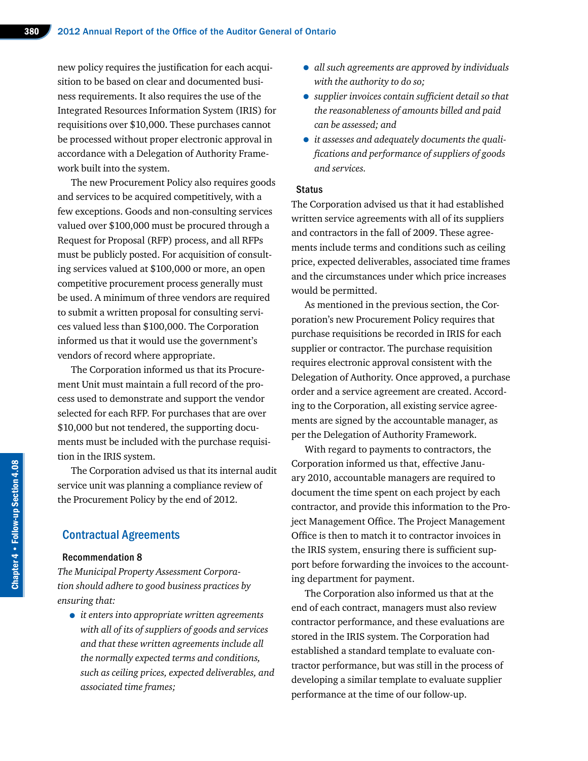new policy requires the justification for each acquisition to be based on clear and documented business requirements. It also requires the use of the Integrated Resources Information System (IRIS) for requisitions over \$10,000. These purchases cannot be processed without proper electronic approval in accordance with a Delegation of Authority Framework built into the system.

The new Procurement Policy also requires goods and services to be acquired competitively, with a few exceptions. Goods and non-consulting services valued over \$100,000 must be procured through a Request for Proposal (RFP) process, and all RFPs must be publicly posted. For acquisition of consulting services valued at \$100,000 or more, an open competitive procurement process generally must be used. A minimum of three vendors are required to submit a written proposal for consulting services valued less than \$100,000. The Corporation informed us that it would use the government's vendors of record where appropriate.

The Corporation informed us that its Procurement Unit must maintain a full record of the process used to demonstrate and support the vendor selected for each RFP. For purchases that are over \$10,000 but not tendered, the supporting documents must be included with the purchase requisition in the IRIS system.

The Corporation advised us that its internal audit service unit was planning a compliance review of the Procurement Policy by the end of 2012.

## Contractual Agreements

#### Recommendation 8

*The Municipal Property Assessment Corporation should adhere to good business practices by ensuring that:*

• *it enters into appropriate written agreements with all of its of suppliers of goods and services and that these written agreements include all the normally expected terms and conditions, such as ceiling prices, expected deliverables, and associated time frames;*

- *all such agreements are approved by individuals with the authority to do so;*
- *supplier invoices contain sufficient detail so that the reasonableness of amounts billed and paid can be assessed; and*
- *it assesses and adequately documents the qualifications and performance of suppliers of goods and services.*

## **Status**

The Corporation advised us that it had established written service agreements with all of its suppliers and contractors in the fall of 2009. These agreements include terms and conditions such as ceiling price, expected deliverables, associated time frames and the circumstances under which price increases would be permitted.

As mentioned in the previous section, the Corporation's new Procurement Policy requires that purchase requisitions be recorded in IRIS for each supplier or contractor. The purchase requisition requires electronic approval consistent with the Delegation of Authority. Once approved, a purchase order and a service agreement are created. According to the Corporation, all existing service agreements are signed by the accountable manager, as per the Delegation of Authority Framework.

With regard to payments to contractors, the Corporation informed us that, effective January 2010, accountable managers are required to document the time spent on each project by each contractor, and provide this information to the Project Management Office. The Project Management Office is then to match it to contractor invoices in the IRIS system, ensuring there is sufficient support before forwarding the invoices to the accounting department for payment.

The Corporation also informed us that at the end of each contract, managers must also review contractor performance, and these evaluations are stored in the IRIS system. The Corporation had established a standard template to evaluate contractor performance, but was still in the process of developing a similar template to evaluate supplier performance at the time of our follow-up.